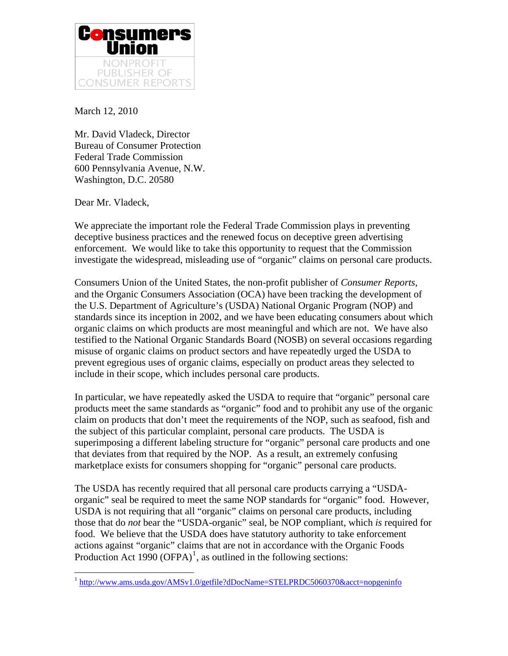

March 12, 2010

Mr. David Vladeck, Director Bureau of Consumer Protection Federal Trade Commission 600 Pennsylvania Avenue, N.W. Washington, D.C. 20580

Dear Mr. Vladeck,

 $\overline{a}$ 

We appreciate the important role the Federal Trade Commission plays in preventing deceptive business practices and the renewed focus on deceptive green advertising enforcement. We would like to take this opportunity to request that the Commission investigate the widespread, misleading use of "organic" claims on personal care products.

Consumers Union of the United States, the non-profit publisher of *Consumer Reports*, and the Organic Consumers Association (OCA) have been tracking the development of the U.S. Department of Agriculture's (USDA) National Organic Program (NOP) and standards since its inception in 2002, and we have been educating consumers about which organic claims on which products are most meaningful and which are not. We have also testified to the National Organic Standards Board (NOSB) on several occasions regarding misuse of organic claims on product sectors and have repeatedly urged the USDA to prevent egregious uses of organic claims, especially on product areas they selected to include in their scope, which includes personal care products.

In particular, we have repeatedly asked the USDA to require that "organic" personal care products meet the same standards as "organic" food and to prohibit any use of the organic claim on products that don't meet the requirements of the NOP, such as seafood, fish and the subject of this particular complaint, personal care products. The USDA is superimposing a different labeling structure for "organic" personal care products and one that deviates from that required by the NOP. As a result, an extremely confusing marketplace exists for consumers shopping for "organic" personal care products.

The USDA has recently required that all personal care products carrying a "USDAorganic" seal be required to meet the same NOP standards for "organic" food. However, USDA is not requiring that all "organic" claims on personal care products, including those that do *not* bear the "USDA-organic" seal, be NOP compliant, which *is* required for food. We believe that the USDA does have statutory authority to take enforcement actions against "organic" claims that are not in accordance with the Organic Foods Production Act [1](#page-0-0)990  $(OFPA)^1$ , as outlined in the following sections:

<span id="page-0-0"></span><sup>&</sup>lt;sup>1</sup> <http://www.ams.usda.gov/AMSv1.0/getfile?dDocName=STELPRDC5060370&acct=nopgeninfo>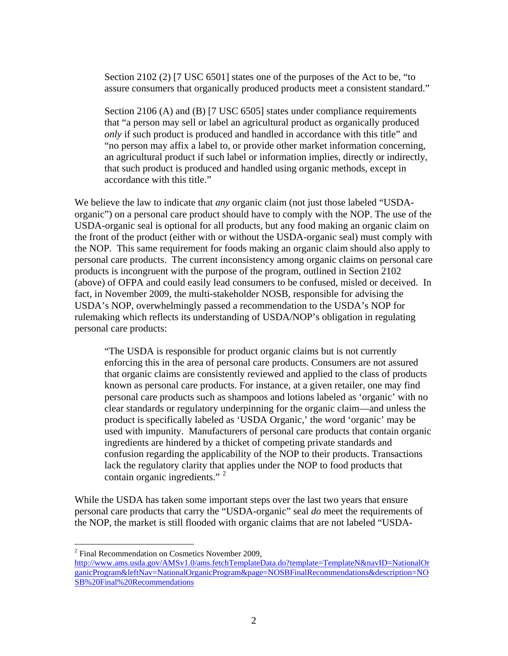Section 2102 (2) [7 USC 6501] states one of the purposes of the Act to be, "to assure consumers that organically produced products meet a consistent standard."

Section 2106 (A) and (B) [7 USC 6505] states under compliance requirements that "a person may sell or label an agricultural product as organically produced *only* if such product is produced and handled in accordance with this title" and "no person may affix a label to, or provide other market information concerning, an agricultural product if such label or information implies, directly or indirectly, that such product is produced and handled using organic methods, except in accordance with this title."

We believe the law to indicate that *any* organic claim (not just those labeled "USDAorganic") on a personal care product should have to comply with the NOP. The use of the USDA-organic seal is optional for all products, but any food making an organic claim on the front of the product (either with or without the USDA-organic seal) must comply with the NOP. This same requirement for foods making an organic claim should also apply to personal care products. The current inconsistency among organic claims on personal care products is incongruent with the purpose of the program, outlined in Section 2102 (above) of OFPA and could easily lead consumers to be confused, misled or deceived. In fact, in November 2009, the multi-stakeholder NOSB, responsible for advising the USDA's NOP, overwhelmingly passed a recommendation to the USDA's NOP for rulemaking which reflects its understanding of USDA/NOP's obligation in regulating personal care products:

"The USDA is responsible for product organic claims but is not currently enforcing this in the area of personal care products. Consumers are not assured that organic claims are consistently reviewed and applied to the class of products known as personal care products. For instance, at a given retailer, one may find personal care products such as shampoos and lotions labeled as 'organic' with no clear standards or regulatory underpinning for the organic claim—and unless the product is specifically labeled as 'USDA Organic,' the word 'organic' may be used with impunity. Manufacturers of personal care products that contain organic ingredients are hindered by a thicket of competing private standards and confusion regarding the applicability of the NOP to their products. Transactions lack the regulatory clarity that applies under the NOP to food products that contain organic ingredients."  $2^{\circ}$  $2^{\circ}$ 

While the USDA has taken some important steps over the last two years that ensure personal care products that carry the "USDA-organic" seal *do* meet the requirements of the NOP, the market is still flooded with organic claims that are not labeled "USDA-

1

<span id="page-1-0"></span><sup>&</sup>lt;sup>2</sup> Final Recommendation on Cosmetics November 2009,

[http://www.ams.usda.gov/AMSv1.0/ams.fetchTemplateData.do?template=TemplateN&navID=NationalOr](http://www.ams.usda.gov/AMSv1.0/ams.fetchTemplateData.do?template=TemplateN&navID=NationalOrganicProgram&leftNav=NationalOrganicProgram&page=NOSBFinalRecommendations&description=NOSB%20Final%20Recommendations) [ganicProgram&leftNav=NationalOrganicProgram&page=NOSBFinalRecommendations&description=NO](http://www.ams.usda.gov/AMSv1.0/ams.fetchTemplateData.do?template=TemplateN&navID=NationalOrganicProgram&leftNav=NationalOrganicProgram&page=NOSBFinalRecommendations&description=NOSB%20Final%20Recommendations) [SB%20Final%20Recommendations](http://www.ams.usda.gov/AMSv1.0/ams.fetchTemplateData.do?template=TemplateN&navID=NationalOrganicProgram&leftNav=NationalOrganicProgram&page=NOSBFinalRecommendations&description=NOSB%20Final%20Recommendations)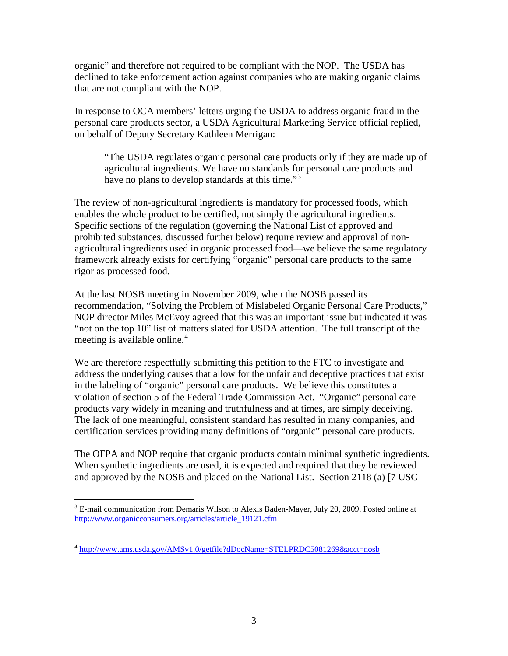organic" and therefore not required to be compliant with the NOP. The USDA has declined to take enforcement action against companies who are making organic claims that are not compliant with the NOP.

In response to OCA members' letters urging the USDA to address organic fraud in the personal care products sector, a USDA Agricultural Marketing Service official replied, on behalf of Deputy Secretary Kathleen Merrigan:

"The USDA regulates organic personal care products only if they are made up of agricultural ingredients. We have no standards for personal care products and have no plans to develop standards at this time."<sup>[3](#page-2-0)</sup>

The review of non-agricultural ingredients is mandatory for processed foods, which enables the whole product to be certified, not simply the agricultural ingredients. Specific sections of the regulation (governing the National List of approved and prohibited substances, discussed further below) require review and approval of nonagricultural ingredients used in organic processed food—we believe the same regulatory framework already exists for certifying "organic" personal care products to the same rigor as processed food.

At the last NOSB meeting in November 2009, when the NOSB passed its recommendation, "Solving the Problem of Mislabeled Organic Personal Care Products," NOP director Miles McEvoy agreed that this was an important issue but indicated it was "not on the top 10" list of matters slated for USDA attention. The full transcript of the meeting is available online. $4$ 

We are therefore respectfully submitting this petition to the FTC to investigate and address the underlying causes that allow for the unfair and deceptive practices that exist in the labeling of "organic" personal care products. We believe this constitutes a violation of section 5 of the Federal Trade Commission Act. "Organic" personal care products vary widely in meaning and truthfulness and at times, are simply deceiving. The lack of one meaningful, consistent standard has resulted in many companies, and certification services providing many definitions of "organic" personal care products.

The OFPA and NOP require that organic products contain minimal synthetic ingredients. When synthetic ingredients are used, it is expected and required that they be reviewed and approved by the NOSB and placed on the National List. Section 2118 (a) [7 USC

 $\overline{a}$ 

<span id="page-2-0"></span><sup>&</sup>lt;sup>3</sup> E-mail communication from Demaris Wilson to Alexis Baden-Mayer, July 20, 2009. Posted online at [http://www.organicconsumers.org/articles/article\\_19121.cfm](http://www.organicconsumers.org/articles/article_19121.cfm)

<span id="page-2-1"></span><sup>4</sup> <http://www.ams.usda.gov/AMSv1.0/getfile?dDocName=STELPRDC5081269&acct=nosb>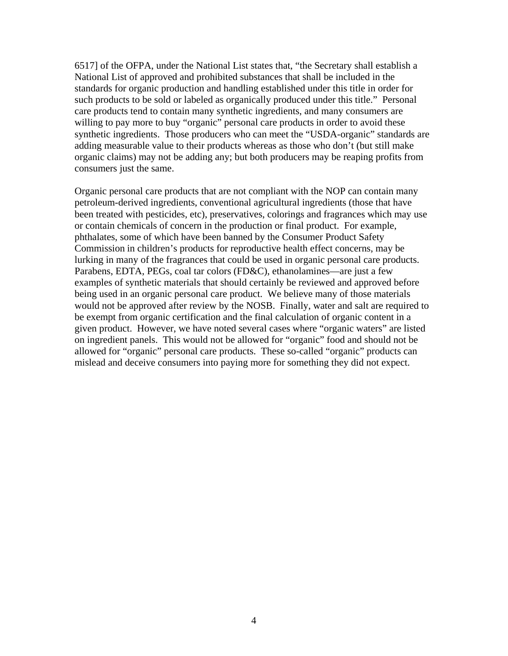6517] of the OFPA, under the National List states that, "the Secretary shall establish a National List of approved and prohibited substances that shall be included in the standards for organic production and handling established under this title in order for such products to be sold or labeled as organically produced under this title." Personal care products tend to contain many synthetic ingredients, and many consumers are willing to pay more to buy "organic" personal care products in order to avoid these synthetic ingredients. Those producers who can meet the "USDA-organic" standards are adding measurable value to their products whereas as those who don't (but still make organic claims) may not be adding any; but both producers may be reaping profits from consumers just the same.

Organic personal care products that are not compliant with the NOP can contain many petroleum-derived ingredients, conventional agricultural ingredients (those that have been treated with pesticides, etc), preservatives, colorings and fragrances which may use or contain chemicals of concern in the production or final product. For example, phthalates, some of which have been banned by the Consumer Product Safety Commission in children's products for reproductive health effect concerns, may be lurking in many of the fragrances that could be used in organic personal care products. Parabens, EDTA, PEGs, coal tar colors (FD&C), ethanolamines—are just a few examples of synthetic materials that should certainly be reviewed and approved before being used in an organic personal care product. We believe many of those materials would not be approved after review by the NOSB. Finally, water and salt are required to be exempt from organic certification and the final calculation of organic content in a given product. However, we have noted several cases where "organic waters" are listed on ingredient panels. This would not be allowed for "organic" food and should not be allowed for "organic" personal care products. These so-called "organic" products can mislead and deceive consumers into paying more for something they did not expect.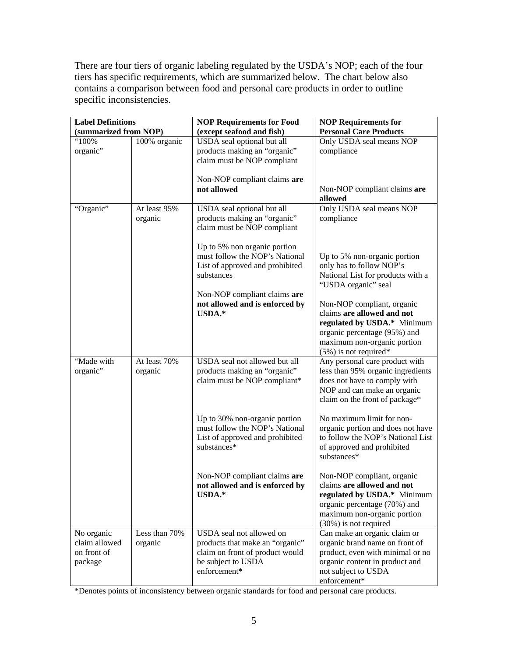There are four tiers of organic labeling regulated by the USDA's NOP; each of the four tiers has specific requirements, which are summarized below. The chart below also contains a comparison between food and personal care products in order to outline specific inconsistencies.

| <b>Label Definitions</b> |               | <b>NOP Requirements for Food</b>                               | <b>NOP Requirements for</b>       |
|--------------------------|---------------|----------------------------------------------------------------|-----------------------------------|
| (summarized from NOP)    |               | (except seafood and fish)                                      | <b>Personal Care Products</b>     |
| "100%                    | 100% organic  | USDA seal optional but all                                     | Only USDA seal means NOP          |
| organic"                 |               | products making an "organic"                                   | compliance                        |
|                          |               | claim must be NOP compliant                                    |                                   |
|                          |               |                                                                |                                   |
|                          |               | Non-NOP compliant claims are                                   |                                   |
|                          |               | not allowed                                                    | Non-NOP compliant claims are      |
|                          |               |                                                                | allowed                           |
| "Organic"                | At least 95%  | USDA seal optional but all                                     | Only USDA seal means NOP          |
|                          | organic       | products making an "organic"                                   | compliance                        |
|                          |               | claim must be NOP compliant                                    |                                   |
|                          |               |                                                                |                                   |
|                          |               | Up to 5% non organic portion<br>must follow the NOP's National | Up to 5% non-organic portion      |
|                          |               | List of approved and prohibited                                | only has to follow NOP's          |
|                          |               | substances                                                     | National List for products with a |
|                          |               |                                                                | "USDA organic" seal               |
|                          |               | Non-NOP compliant claims are                                   |                                   |
|                          |               | not allowed and is enforced by                                 | Non-NOP compliant, organic        |
|                          |               | USDA.*                                                         | claims are allowed and not        |
|                          |               |                                                                | regulated by USDA.* Minimum       |
|                          |               |                                                                | organic percentage (95%) and      |
|                          |               |                                                                | maximum non-organic portion       |
|                          |               |                                                                | $(5\%)$ is not required*          |
| "Made with               | At least 70%  | USDA seal not allowed but all                                  | Any personal care product with    |
| organic"                 | organic       | products making an "organic"                                   | less than 95% organic ingredients |
|                          |               | claim must be NOP compliant*                                   | does not have to comply with      |
|                          |               |                                                                | NOP and can make an organic       |
|                          |               |                                                                | claim on the front of package*    |
|                          |               | Up to 30% non-organic portion                                  | No maximum limit for non-         |
|                          |               | must follow the NOP's National                                 | organic portion and does not have |
|                          |               | List of approved and prohibited                                | to follow the NOP's National List |
|                          |               | substances*                                                    | of approved and prohibited        |
|                          |               |                                                                | substances*                       |
|                          |               |                                                                |                                   |
|                          |               | Non-NOP compliant claims are                                   | Non-NOP compliant, organic        |
|                          |               | not allowed and is enforced by                                 | claims are allowed and not        |
|                          |               | USDA.*                                                         | regulated by USDA.* Minimum       |
|                          |               |                                                                | organic percentage (70%) and      |
|                          |               |                                                                | maximum non-organic portion       |
|                          |               |                                                                | (30%) is not required             |
| No organic               | Less than 70% | USDA seal not allowed on                                       | Can make an organic claim or      |
| claim allowed            | organic       | products that make an "organic"                                | organic brand name on front of    |
| on front of              |               | claim on front of product would                                | product, even with minimal or no  |
| package                  |               | be subject to USDA<br>enforcement*                             | organic content in product and    |
|                          |               |                                                                | not subject to USDA               |
|                          |               |                                                                | enforcement*                      |

\*Denotes points of inconsistency between organic standards for food and personal care products.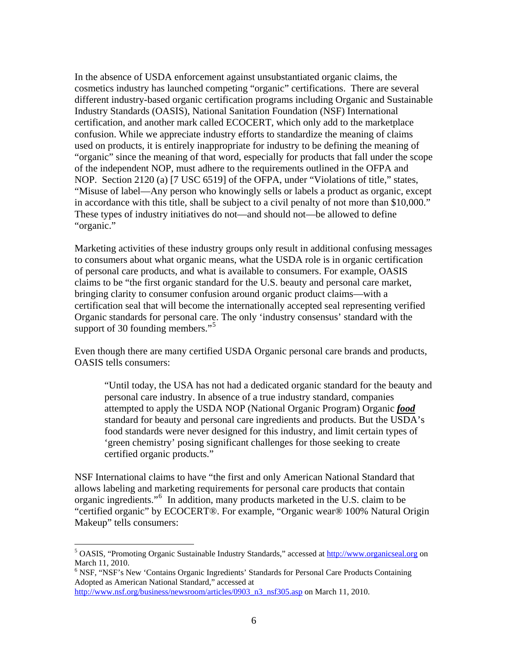In the absence of USDA enforcement against unsubstantiated organic claims, the cosmetics industry has launched competing "organic" certifications. There are several different industry-based organic certification programs including Organic and Sustainable Industry Standards (OASIS), National Sanitation Foundation (NSF) International certification, and another mark called ECOCERT, which only add to the marketplace confusion. While we appreciate industry efforts to standardize the meaning of claims used on products, it is entirely inappropriate for industry to be defining the meaning of "organic" since the meaning of that word, especially for products that fall under the scope of the independent NOP, must adhere to the requirements outlined in the OFPA and NOP. Section 2120 (a) [7 USC 6519] of the OFPA, under "Violations of title," states, "Misuse of label—Any person who knowingly sells or labels a product as organic, except in accordance with this title, shall be subject to a civil penalty of not more than \$10,000." These types of industry initiatives do not—and should not—be allowed to define "organic."

Marketing activities of these industry groups only result in additional confusing messages to consumers about what organic means, what the USDA role is in organic certification of personal care products, and what is available to consumers. For example, OASIS claims to be "the first organic standard for the U.S. beauty and personal care market, bringing clarity to consumer confusion around organic product claims—with a certification seal that will become the internationally accepted seal representing verified Organic standards for personal care. The only 'industry consensus' standard with the support of 30 founding members."<sup>[5](#page-5-0)</sup>

Even though there are many certified USDA Organic personal care brands and products, OASIS tells consumers:

"Until today, the USA has not had a dedicated organic standard for the beauty and personal care industry. In absence of a true industry standard, companies attempted to apply the USDA NOP (National Organic Program) Organic *food* standard for beauty and personal care ingredients and products. But the USDA's food standards were never designed for this industry, and limit certain types of 'green chemistry' posing significant challenges for those seeking to create certified organic products."

NSF International claims to have "the first and only American National Standard that allows labeling and marketing requirements for personal care products that contain organic ingredients."[6](#page-5-1) In addition, many products marketed in the U.S. claim to be "certified organic" by ECOCERT®. For example, "Organic wear® 100% Natural Origin Makeup" tells consumers:

 $\overline{a}$ 

<span id="page-5-0"></span><sup>&</sup>lt;sup>5</sup> OASIS, "Promoting Organic Sustainable Industry Standards," accessed at [http://www.organicseal.org](http://www.organicseal.org/) on March 11, 2010.

<span id="page-5-1"></span><sup>&</sup>lt;sup>6</sup> NSF, "NSF's New 'Contains Organic Ingredients' Standards for Personal Care Products Containing Adopted as American National Standard," accessed at

[http://www.nsf.org/business/newsroom/articles/0903\\_n3\\_nsf305.asp](http://www.nsf.org/business/newsroom/articles/0903_n3_nsf305.asp) on March 11, 2010.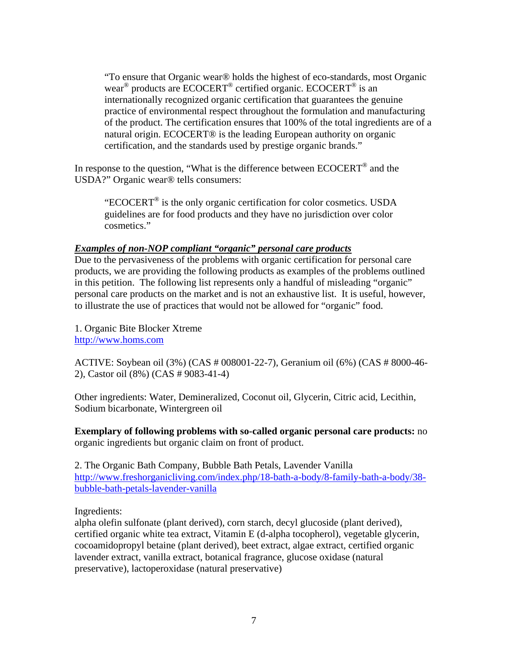"To ensure that Organic wear® holds the highest of eco-standards, most Organic wear® products are ECOCERT® certified organic. ECOCERT® is an internationally recognized organic certification that guarantees the genuine practice of environmental respect throughout the formulation and manufacturing of the product. The certification ensures that 100% of the total ingredients are of a natural origin. ECOCERT® is the leading European authority on organic certification, and the standards used by prestige organic brands."

In response to the question, "What is the difference between ECOCERT® and the USDA?" Organic wear® tells consumers:

"ECOCERT® is the only organic certification for color cosmetics. USDA guidelines are for food products and they have no jurisdiction over color cosmetics."

### *Examples of non-NOP compliant "organic" personal care products*

Due to the pervasiveness of the problems with organic certification for personal care products, we are providing the following products as examples of the problems outlined in this petition. The following list represents only a handful of misleading "organic" personal care products on the market and is not an exhaustive list. It is useful, however, to illustrate the use of practices that would not be allowed for "organic" food.

1. Organic Bite Blocker Xtreme [http://www.homs.com](http://www.homs.com/)

ACTIVE: Soybean oil (3%) (CAS # 008001-22-7), Geranium oil (6%) (CAS # 8000-46- 2), Castor oil (8%) (CAS # 9083-41-4)

Other ingredients: Water, Demineralized, Coconut oil, Glycerin, Citric acid, Lecithin, Sodium bicarbonate, Wintergreen oil

**Exemplary of following problems with so-called organic personal care products:** no organic ingredients but organic claim on front of product.

2. The Organic Bath Company, Bubble Bath Petals, Lavender Vanilla [http://www.freshorganicliving.com/index.php/18-bath-a-body/8-family-bath-a-body/38](http://www.freshorganicliving.com/index.php/18-bath-a-body/8-family-bath-a-body/38-bubble-bath-petals-lavender-vanilla) [bubble-bath-petals-lavender-vanilla](http://www.freshorganicliving.com/index.php/18-bath-a-body/8-family-bath-a-body/38-bubble-bath-petals-lavender-vanilla)

# Ingredients:

alpha olefin sulfonate (plant derived), corn starch, decyl glucoside (plant derived), certified organic white tea extract, Vitamin E (d-alpha tocopherol), vegetable glycerin, cocoamidopropyl betaine (plant derived), beet extract, algae extract, certified organic lavender extract, vanilla extract, botanical fragrance, glucose oxidase (natural preservative), lactoperoxidase (natural preservative)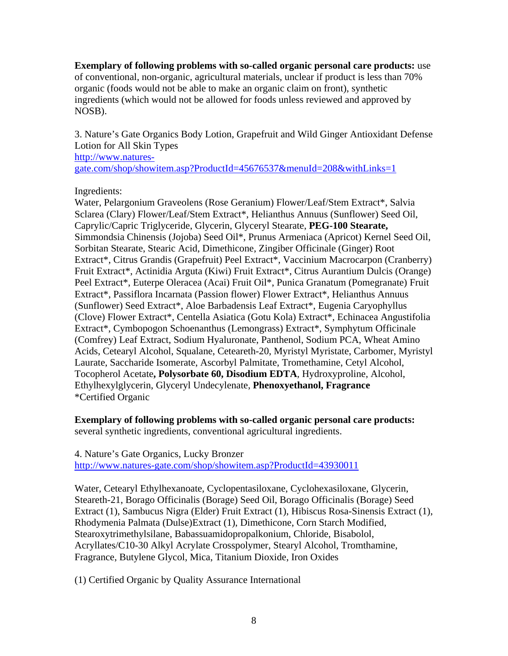**Exemplary of following problems with so-called organic personal care products:** use of conventional, non-organic, agricultural materials, unclear if product is less than 70% organic (foods would not be able to make an organic claim on front), synthetic ingredients (which would not be allowed for foods unless reviewed and approved by NOSB).

3. Nature's Gate Organics Body Lotion, Grapefruit and Wild Ginger Antioxidant Defense Lotion for All Skin Types [http://www.natures](http://www.natures-gate.com/shop/showitem.asp?ProductId=45676537&menuId=208&withLinks=1)[gate.com/shop/showitem.asp?ProductId=45676537&menuId=208&withLinks=1](http://www.natures-gate.com/shop/showitem.asp?ProductId=45676537&menuId=208&withLinks=1)

Ingredients:

Water, Pelargonium Graveolens (Rose Geranium) Flower/Leaf/Stem Extract\*, Salvia Sclarea (Clary) Flower/Leaf/Stem Extract\*, Helianthus Annuus (Sunflower) Seed Oil, Caprylic/Capric Triglyceride, Glycerin, Glyceryl Stearate, **PEG-100 Stearate,** Simmondsia Chinensis (Jojoba) Seed Oil\*, Prunus Armeniaca (Apricot) Kernel Seed Oil, Sorbitan Stearate, Stearic Acid, Dimethicone, Zingiber Officinale (Ginger) Root Extract\*, Citrus Grandis (Grapefruit) Peel Extract\*, Vaccinium Macrocarpon (Cranberry) Fruit Extract\*, Actinidia Arguta (Kiwi) Fruit Extract\*, Citrus Aurantium Dulcis (Orange) Peel Extract\*, Euterpe Oleracea (Acai) Fruit Oil\*, Punica Granatum (Pomegranate) Fruit Extract\*, Passiflora Incarnata (Passion flower) Flower Extract\*, Helianthus Annuus (Sunflower) Seed Extract\*, Aloe Barbadensis Leaf Extract\*, Eugenia Caryophyllus (Clove) Flower Extract\*, Centella Asiatica (Gotu Kola) Extract\*, Echinacea Angustifolia Extract\*, Cymbopogon Schoenanthus (Lemongrass) Extract\*, Symphytum Officinale (Comfrey) Leaf Extract, Sodium Hyaluronate, Panthenol, Sodium PCA, Wheat Amino Acids, Cetearyl Alcohol, Squalane, Ceteareth-20, Myristyl Myristate, Carbomer, Myristyl Laurate, Saccharide Isomerate, Ascorbyl Palmitate, Tromethamine, Cetyl Alcohol, Tocopherol Acetate**, Polysorbate 60, Disodium EDTA**, Hydroxyproline, Alcohol, Ethylhexylglycerin, Glyceryl Undecylenate, **Phenoxyethanol, Fragrance** \*Certified Organic

**Exemplary of following problems with so-called organic personal care products:**  several synthetic ingredients, conventional agricultural ingredients.

4. Nature's Gate Organics, Lucky Bronzer <http://www.natures-gate.com/shop/showitem.asp?ProductId=43930011>

Water, Cetearyl Ethylhexanoate, Cyclopentasiloxane, Cyclohexasiloxane, Glycerin, Steareth-21, Borago Officinalis (Borage) Seed Oil, Borago Officinalis (Borage) Seed Extract (1), Sambucus Nigra (Elder) Fruit Extract (1), Hibiscus Rosa-Sinensis Extract (1), Rhodymenia Palmata (Dulse)Extract (1), Dimethicone, Corn Starch Modified, Stearoxytrimethylsilane, Babassuamidopropalkonium, Chloride, Bisabolol, Acryllates/C10-30 Alkyl Acrylate Crosspolymer, Stearyl Alcohol, Tromthamine, Fragrance, Butylene Glycol, Mica, Titanium Dioxide, Iron Oxides

(1) Certified Organic by Quality Assurance International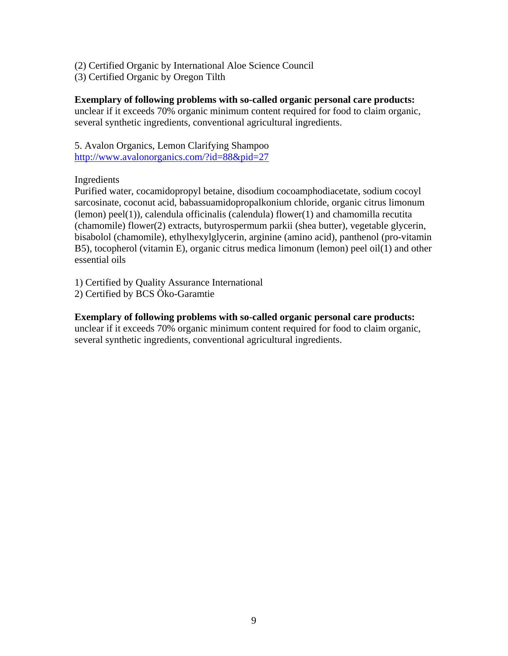- (2) Certified Organic by International Aloe Science Council
- (3) Certified Organic by Oregon Tilth

### **Exemplary of following problems with so-called organic personal care products:**

unclear if it exceeds 70% organic minimum content required for food to claim organic, several synthetic ingredients, conventional agricultural ingredients.

5. Avalon Organics, Lemon Clarifying Shampoo <http://www.avalonorganics.com/?id=88&pid=27>

### Ingredients

Purified water, cocamidopropyl betaine, disodium cocoamphodiacetate, sodium cocoyl sarcosinate, coconut acid, babassuamidopropalkonium chloride, organic citrus limonum (lemon) peel(1)), calendula officinalis (calendula) flower(1) and chamomilla recutita (chamomile) flower(2) extracts, butyrospermum parkii (shea butter), vegetable glycerin, bisabolol (chamomile), ethylhexylglycerin, arginine (amino acid), panthenol (pro-vitamin B5), tocopherol (vitamin E), organic citrus medica limonum (lemon) peel oil(1) and other essential oils

1) Certified by Quality Assurance International

2) Certified by BCS Öko-Garamtie

### **Exemplary of following problems with so-called organic personal care products:**

unclear if it exceeds 70% organic minimum content required for food to claim organic, several synthetic ingredients, conventional agricultural ingredients.